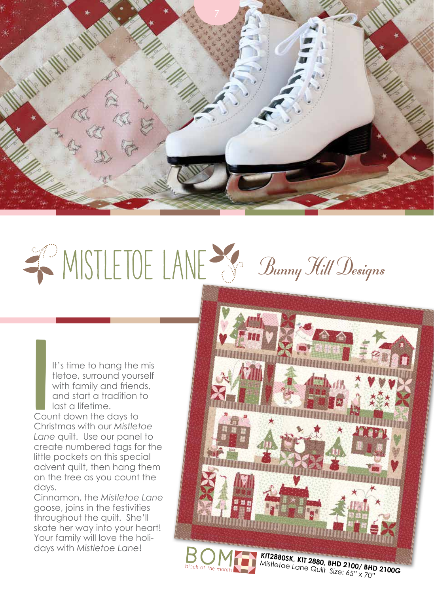

## WISTLETOE LANE & Bunny Hill Designs

It's time to hang the mis tletoe, surround yourself with family and friends, and start a tradition to last a lifetime.

Count down the days to Christmas with our *Mistletoe Lane* quilt. Use our panel to create numbered tags for the little pockets on this special advent quilt, then hang them on the tree as you count the days. I<br>I<br>Court

Cinnamon, the *Mistletoe Lane* goose, joins in the festivities throughout the quilt. She'll skate her way into your heart! Your family will love the holidays with *Mistletoe Lane*!

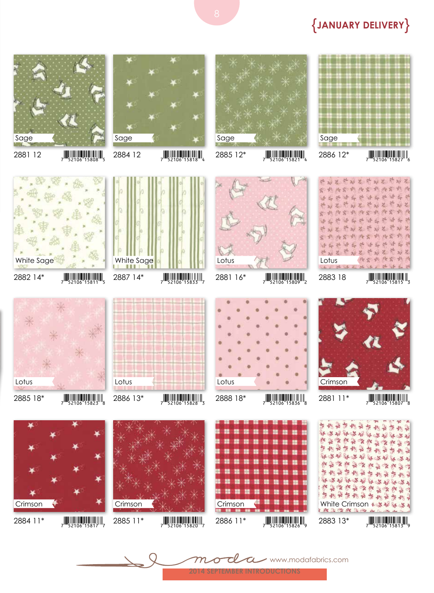www.modafabrics.com































## {**January Delivery**}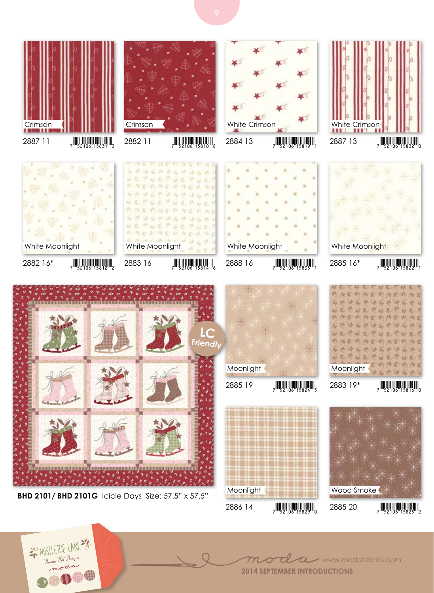



MISTLETOE LANE B<sub>unny</sub> Hill Designs<br>B<sub>unny</sub> Hill Designs





**2014 September introductions**

 $\bigcap$ 

 $\boldsymbol{\mathcal{U}}$ 

www.modafabrics.com